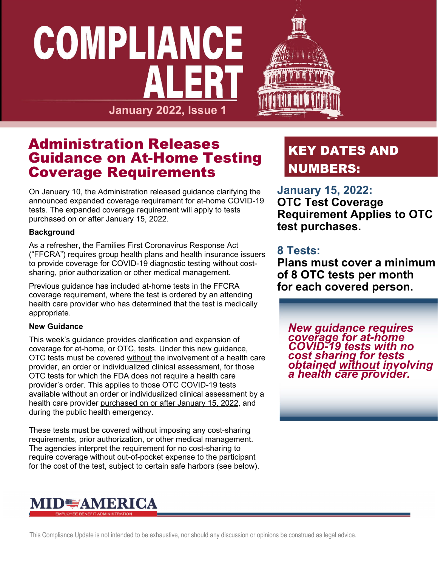## COMPLIANCE the contract of the contract of the **January 2022, Issue 1**



### Administration Releases Guidance on At-Home Testing Coverage Requirements

On January 10, the Administration released guidance clarifying the announced expanded coverage requirement for at-home COVID-19 tests. The expanded coverage requirement will apply to tests purchased on or after January 15, 2022.

#### **Background**

As a refresher, the Families First Coronavirus Response Act ("FFCRA") requires group health plans and health insurance issuers to provide coverage for COVID-19 diagnostic testing without costsharing, prior authorization or other medical management.

Previous guidance has included at-home tests in the FFCRA coverage requirement, where the test is ordered by an attending health care provider who has determined that the test is medically appropriate.

#### **New Guidance**

This week's guidance provides clarification and expansion of coverage for at-home, or OTC, tests. Under this new guidance, OTC tests must be covered without the involvement of a health care provider, an order or individualized clinical assessment, for those OTC tests for which the FDA does not require a health care provider's order. This applies to those OTC COVID-19 tests available without an order or individualized clinical assessment by a health care provider purchased on or after January 15, 2022, and during the public health emergency.

These tests must be covered without imposing any cost-sharing requirements, prior authorization, or other medical management. The agencies interpret the requirement for no cost-sharing to require coverage without out-of-pocket expense to the participant for the cost of the test, subject to certain safe harbors (see below).

## MID<del>≣</del>AMERICA

## KEY DATES AND NUMBERS:

#### **January 15, 2022:**

**OTC Test Coverage Requirement Applies to OTC test purchases.** 

#### **8 Tests:**

**Plans must cover a minimum of 8 OTC tests per month for each covered person.**

*New guidance requires coverage for at-home COVID-19 tests with no cost sharing for tests obtained without involving a health care provider.* 

This Compliance Update is not intended to be exhaustive, nor should any discussion or opinions be construed as legal advice.